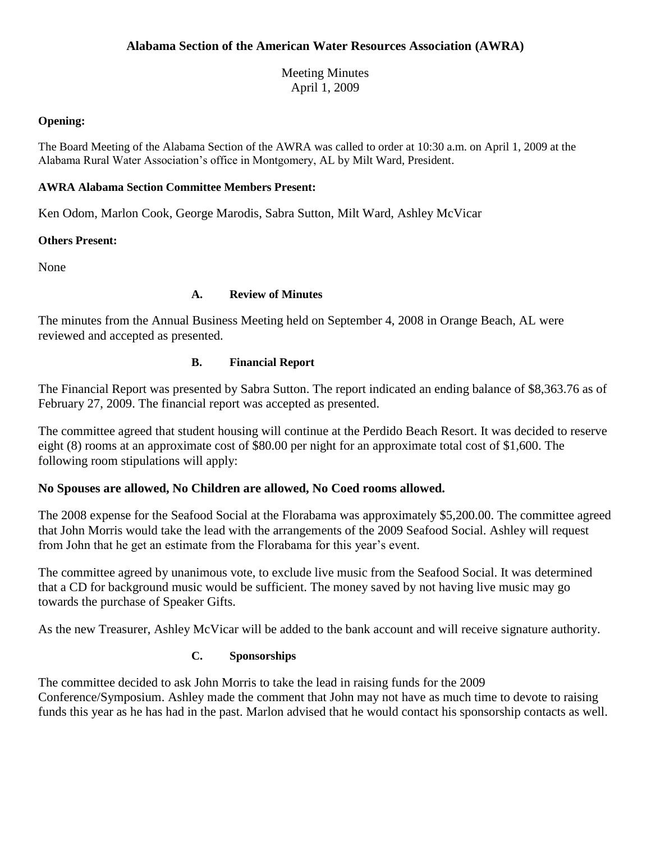Meeting Minutes April 1, 2009

### **Opening:**

The Board Meeting of the Alabama Section of the AWRA was called to order at 10:30 a.m. on April 1, 2009 at the Alabama Rural Water Association's office in Montgomery, AL by Milt Ward, President.

## **AWRA Alabama Section Committee Members Present:**

Ken Odom, Marlon Cook, George Marodis, Sabra Sutton, Milt Ward, Ashley McVicar

# **Others Present:**

None

### **A. Review of Minutes**

The minutes from the Annual Business Meeting held on September 4, 2008 in Orange Beach, AL were reviewed and accepted as presented.

### **B. Financial Report**

The Financial Report was presented by Sabra Sutton. The report indicated an ending balance of \$8,363.76 as of February 27, 2009. The financial report was accepted as presented.

The committee agreed that student housing will continue at the Perdido Beach Resort. It was decided to reserve eight (8) rooms at an approximate cost of \$80.00 per night for an approximate total cost of \$1,600. The following room stipulations will apply:

# **No Spouses are allowed, No Children are allowed, No Coed rooms allowed.**

The 2008 expense for the Seafood Social at the Florabama was approximately \$5,200.00. The committee agreed that John Morris would take the lead with the arrangements of the 2009 Seafood Social. Ashley will request from John that he get an estimate from the Florabama for this year's event.

The committee agreed by unanimous vote, to exclude live music from the Seafood Social. It was determined that a CD for background music would be sufficient. The money saved by not having live music may go towards the purchase of Speaker Gifts.

As the new Treasurer, Ashley McVicar will be added to the bank account and will receive signature authority.

# **C. Sponsorships**

The committee decided to ask John Morris to take the lead in raising funds for the 2009 Conference/Symposium. Ashley made the comment that John may not have as much time to devote to raising funds this year as he has had in the past. Marlon advised that he would contact his sponsorship contacts as well.